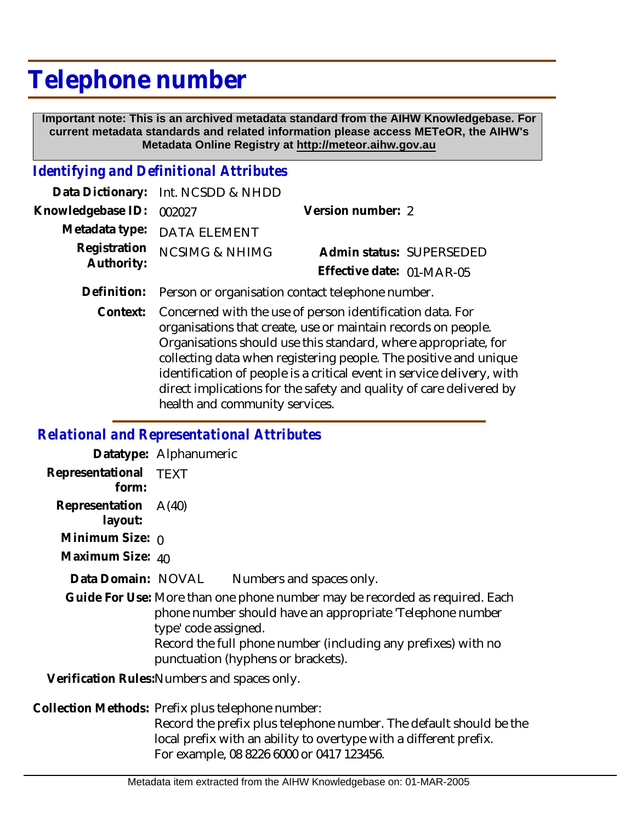## **Telephone number**

 **Important note: This is an archived metadata standard from the AIHW Knowledgebase. For current metadata standards and related information please access METeOR, the AIHW's Metadata Online Registry at http://meteor.aihw.gov.au**

## *Identifying and Definitional Attributes*

|                          | Data Dictionary: Int. NCSDD & NHDD |                           |  |
|--------------------------|------------------------------------|---------------------------|--|
| Knowledgebase ID: 002027 |                                    | Version number: 2         |  |
|                          | Metadata type: DATA ELEMENT        |                           |  |
| Authority:               | Registration NCSIMG & NHIMG        | Admin status: SUPERSEDED  |  |
|                          |                                    | Effective date: 01-MAR-05 |  |
|                          |                                    |                           |  |

- **Definition:** Person or organisation contact telephone number.
	- Context: Concerned with the use of person identification data. For organisations that create, use or maintain records on people. Organisations should use this standard, where appropriate, for collecting data when registering people. The positive and unique identification of people is a critical event in service delivery, with direct implications for the safety and quality of care delivered by health and community services.

## *Relational and Representational Attributes*

|                                 | Datatype: Alphanumeric                                                                                                                                                                                                                                                  |
|---------------------------------|-------------------------------------------------------------------------------------------------------------------------------------------------------------------------------------------------------------------------------------------------------------------------|
| Representational TEXT<br>form:  |                                                                                                                                                                                                                                                                         |
| Representation A(40)<br>layout: |                                                                                                                                                                                                                                                                         |
| Minimum Size: $\rho$            |                                                                                                                                                                                                                                                                         |
| Maximum Size: 40                |                                                                                                                                                                                                                                                                         |
| Data Domain: NOVAL              | Numbers and spaces only.                                                                                                                                                                                                                                                |
|                                 | Guide For Use: More than one phone number may be recorded as required. Each<br>phone number should have an appropriate 'Telephone number<br>type' code assigned.<br>Record the full phone number (including any prefixes) with no<br>punctuation (hyphens or brackets). |
|                                 | Verification Rules: Numbers and spaces only.                                                                                                                                                                                                                            |
|                                 | Collection Methods: Prefix plus telephone number:                                                                                                                                                                                                                       |

Record the prefix plus telephone number. The default should be the local prefix with an ability to overtype with a different prefix. For example, 08 8226 6000 or 0417 123456.